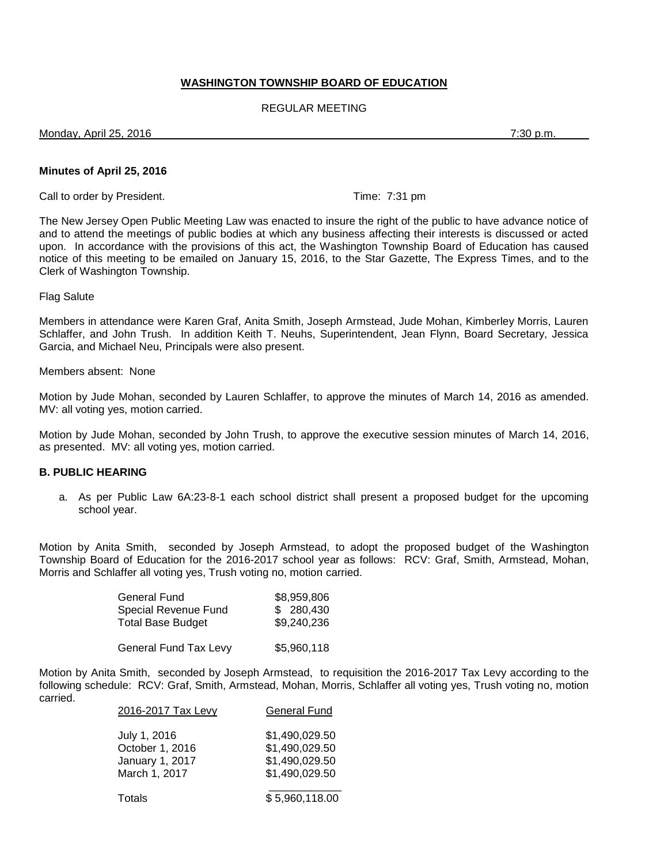# **WASHINGTON TOWNSHIP BOARD OF EDUCATION**

# REGULAR MEETING

Monday, April 25, 2016 7:30 p.m.

#### **Minutes of April 25, 2016**

Call to order by President. The contract of the contract of the Time: 7:31 pm

The New Jersey Open Public Meeting Law was enacted to insure the right of the public to have advance notice of and to attend the meetings of public bodies at which any business affecting their interests is discussed or acted upon. In accordance with the provisions of this act, the Washington Township Board of Education has caused notice of this meeting to be emailed on January 15, 2016, to the Star Gazette, The Express Times, and to the Clerk of Washington Township.

#### Flag Salute

Members in attendance were Karen Graf, Anita Smith, Joseph Armstead, Jude Mohan, Kimberley Morris, Lauren Schlaffer, and John Trush. In addition Keith T. Neuhs, Superintendent, Jean Flynn, Board Secretary, Jessica Garcia, and Michael Neu, Principals were also present.

#### Members absent: None

Motion by Jude Mohan, seconded by Lauren Schlaffer, to approve the minutes of March 14, 2016 as amended. MV: all voting yes, motion carried.

Motion by Jude Mohan, seconded by John Trush, to approve the executive session minutes of March 14, 2016, as presented. MV: all voting yes, motion carried.

### **B. PUBLIC HEARING**

a. As per Public Law 6A:23-8-1 each school district shall present a proposed budget for the upcoming school year.

Motion by Anita Smith, seconded by Joseph Armstead, to adopt the proposed budget of the Washington Township Board of Education for the 2016-2017 school year as follows: RCV: Graf, Smith, Armstead, Mohan, Morris and Schlaffer all voting yes, Trush voting no, motion carried.

| General Fund                 | \$8,959,806 |
|------------------------------|-------------|
| Special Revenue Fund         | \$ 280,430  |
| <b>Total Base Budget</b>     | \$9,240,236 |
| <b>General Fund Tax Levy</b> | \$5,960,118 |

Motion by Anita Smith, seconded by Joseph Armstead, to requisition the 2016-2017 Tax Levy according to the following schedule: RCV: Graf, Smith, Armstead, Mohan, Morris, Schlaffer all voting yes, Trush voting no, motion carried.

| 2016-2017 Tax Levy                                                  | <b>General Fund</b>                                                  |
|---------------------------------------------------------------------|----------------------------------------------------------------------|
| July 1, 2016<br>October 1, 2016<br>January 1, 2017<br>March 1, 2017 | \$1,490,029.50<br>\$1,490,029.50<br>\$1,490,029.50<br>\$1,490,029.50 |
| Totals                                                              | \$5,960,118.00                                                       |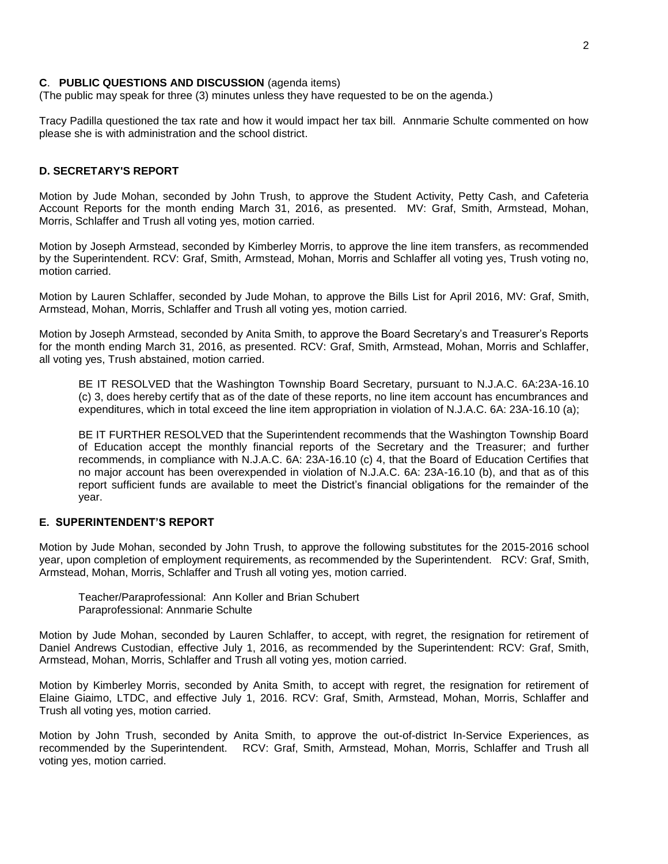#### **C**. **PUBLIC QUESTIONS AND DISCUSSION** (agenda items)

(The public may speak for three (3) minutes unless they have requested to be on the agenda.)

Tracy Padilla questioned the tax rate and how it would impact her tax bill. Annmarie Schulte commented on how please she is with administration and the school district.

### **D. SECRETARY'S REPORT**

Motion by Jude Mohan, seconded by John Trush, to approve the Student Activity, Petty Cash, and Cafeteria Account Reports for the month ending March 31, 2016, as presented. MV: Graf, Smith, Armstead, Mohan, Morris, Schlaffer and Trush all voting yes, motion carried.

Motion by Joseph Armstead, seconded by Kimberley Morris, to approve the line item transfers, as recommended by the Superintendent. RCV: Graf, Smith, Armstead, Mohan, Morris and Schlaffer all voting yes, Trush voting no, motion carried.

Motion by Lauren Schlaffer, seconded by Jude Mohan, to approve the Bills List for April 2016, MV: Graf, Smith, Armstead, Mohan, Morris, Schlaffer and Trush all voting yes, motion carried.

Motion by Joseph Armstead, seconded by Anita Smith, to approve the Board Secretary's and Treasurer's Reports for the month ending March 31, 2016, as presented. RCV: Graf, Smith, Armstead, Mohan, Morris and Schlaffer, all voting yes, Trush abstained, motion carried.

BE IT RESOLVED that the Washington Township Board Secretary, pursuant to N.J.A.C. 6A:23A-16.10 (c) 3, does hereby certify that as of the date of these reports, no line item account has encumbrances and expenditures, which in total exceed the line item appropriation in violation of N.J.A.C. 6A: 23A-16.10 (a);

BE IT FURTHER RESOLVED that the Superintendent recommends that the Washington Township Board of Education accept the monthly financial reports of the Secretary and the Treasurer; and further recommends, in compliance with N.J.A.C. 6A: 23A-16.10 (c) 4, that the Board of Education Certifies that no major account has been overexpended in violation of N.J.A.C. 6A: 23A-16.10 (b), and that as of this report sufficient funds are available to meet the District's financial obligations for the remainder of the year.

### **E. SUPERINTENDENT'S REPORT**

Motion by Jude Mohan, seconded by John Trush, to approve the following substitutes for the 2015-2016 school year, upon completion of employment requirements, as recommended by the Superintendent. RCV: Graf, Smith, Armstead, Mohan, Morris, Schlaffer and Trush all voting yes, motion carried.

Teacher/Paraprofessional: Ann Koller and Brian Schubert Paraprofessional: Annmarie Schulte

Motion by Jude Mohan, seconded by Lauren Schlaffer, to accept, with regret, the resignation for retirement of Daniel Andrews Custodian, effective July 1, 2016, as recommended by the Superintendent: RCV: Graf, Smith, Armstead, Mohan, Morris, Schlaffer and Trush all voting yes, motion carried.

Motion by Kimberley Morris, seconded by Anita Smith, to accept with regret, the resignation for retirement of Elaine Giaimo, LTDC, and effective July 1, 2016. RCV: Graf, Smith, Armstead, Mohan, Morris, Schlaffer and Trush all voting yes, motion carried.

Motion by John Trush, seconded by Anita Smith, to approve the out-of-district In-Service Experiences, as recommended by the Superintendent. RCV: Graf, Smith, Armstead, Mohan, Morris, Schlaffer and Trush all voting yes, motion carried.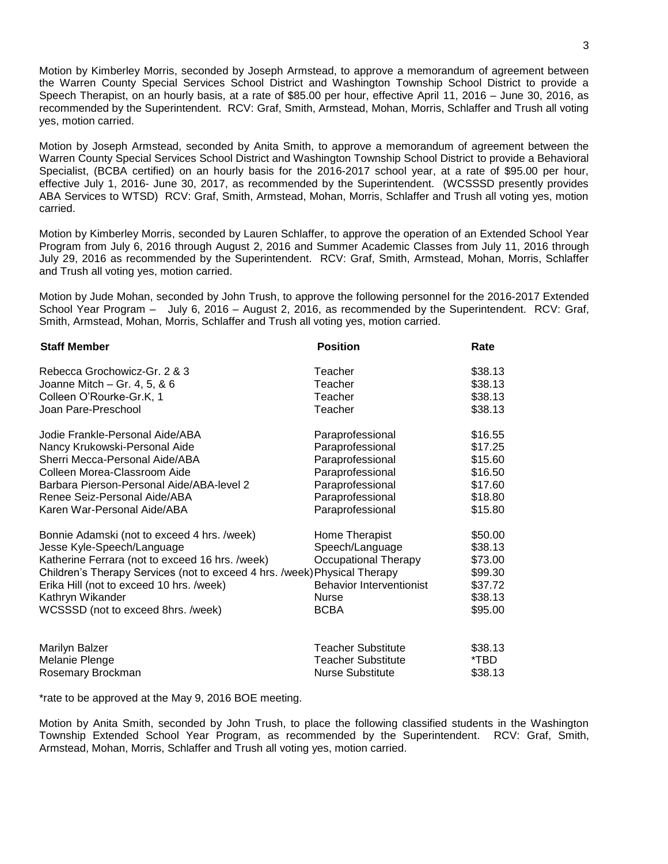Motion by Kimberley Morris, seconded by Joseph Armstead, to approve a memorandum of agreement between the Warren County Special Services School District and Washington Township School District to provide a Speech Therapist, on an hourly basis, at a rate of \$85.00 per hour, effective April 11, 2016 – June 30, 2016, as recommended by the Superintendent. RCV: Graf, Smith, Armstead, Mohan, Morris, Schlaffer and Trush all voting yes, motion carried.

Motion by Joseph Armstead, seconded by Anita Smith, to approve a memorandum of agreement between the Warren County Special Services School District and Washington Township School District to provide a Behavioral Specialist, (BCBA certified) on an hourly basis for the 2016-2017 school year, at a rate of \$95.00 per hour, effective July 1, 2016- June 30, 2017, as recommended by the Superintendent. (WCSSSD presently provides ABA Services to WTSD) RCV: Graf, Smith, Armstead, Mohan, Morris, Schlaffer and Trush all voting yes, motion carried.

Motion by Kimberley Morris, seconded by Lauren Schlaffer, to approve the operation of an Extended School Year Program from July 6, 2016 through August 2, 2016 and Summer Academic Classes from July 11, 2016 through July 29, 2016 as recommended by the Superintendent. RCV: Graf, Smith, Armstead, Mohan, Morris, Schlaffer and Trush all voting yes, motion carried.

Motion by Jude Mohan, seconded by John Trush, to approve the following personnel for the 2016-2017 Extended School Year Program – July 6, 2016 – August 2, 2016, as recommended by the Superintendent. RCV: Graf, Smith, Armstead, Mohan, Morris, Schlaffer and Trush all voting yes, motion carried.

| <b>Staff Member</b>                                                       | <b>Position</b>                 | Rate    |
|---------------------------------------------------------------------------|---------------------------------|---------|
| Rebecca Grochowicz-Gr. 2 & 3                                              | Teacher                         | \$38.13 |
| Joanne Mitch $-$ Gr. 4, 5, & 6                                            | Teacher                         | \$38.13 |
| Colleen O'Rourke-Gr.K, 1                                                  | Teacher                         | \$38.13 |
| Joan Pare-Preschool                                                       | Teacher                         | \$38.13 |
| Jodie Frankle-Personal Aide/ABA                                           | Paraprofessional                | \$16.55 |
| Nancy Krukowski-Personal Aide                                             | Paraprofessional                | \$17.25 |
| Sherri Mecca-Personal Aide/ABA                                            | Paraprofessional                | \$15.60 |
| Colleen Morea-Classroom Aide                                              | Paraprofessional                | \$16.50 |
| Barbara Pierson-Personal Aide/ABA-level 2                                 | Paraprofessional                | \$17.60 |
| Renee Seiz-Personal Aide/ABA                                              | Paraprofessional                | \$18.80 |
| Karen War-Personal Aide/ABA                                               | Paraprofessional                | \$15.80 |
| Bonnie Adamski (not to exceed 4 hrs. /week)                               | Home Therapist                  | \$50.00 |
| Jesse Kyle-Speech/Language                                                | Speech/Language                 | \$38.13 |
| Katherine Ferrara (not to exceed 16 hrs. /week)                           | Occupational Therapy            | \$73.00 |
| Children's Therapy Services (not to exceed 4 hrs. /week) Physical Therapy |                                 | \$99.30 |
| Erika Hill (not to exceed 10 hrs. /week)                                  | <b>Behavior Interventionist</b> | \$37.72 |
| Kathryn Wikander                                                          | <b>Nurse</b>                    | \$38.13 |
| WCSSSD (not to exceed 8hrs. /week)                                        | <b>BCBA</b>                     | \$95.00 |
|                                                                           |                                 |         |
| Marilyn Balzer                                                            | <b>Teacher Substitute</b>       | \$38.13 |
| Melanie Plenge                                                            | Teacher Substitute              | *TBD    |
| Rosemary Brockman                                                         | <b>Nurse Substitute</b>         | \$38.13 |

\*rate to be approved at the May 9, 2016 BOE meeting.

Motion by Anita Smith, seconded by John Trush, to place the following classified students in the Washington Township Extended School Year Program, as recommended by the Superintendent. RCV: Graf, Smith, Armstead, Mohan, Morris, Schlaffer and Trush all voting yes, motion carried.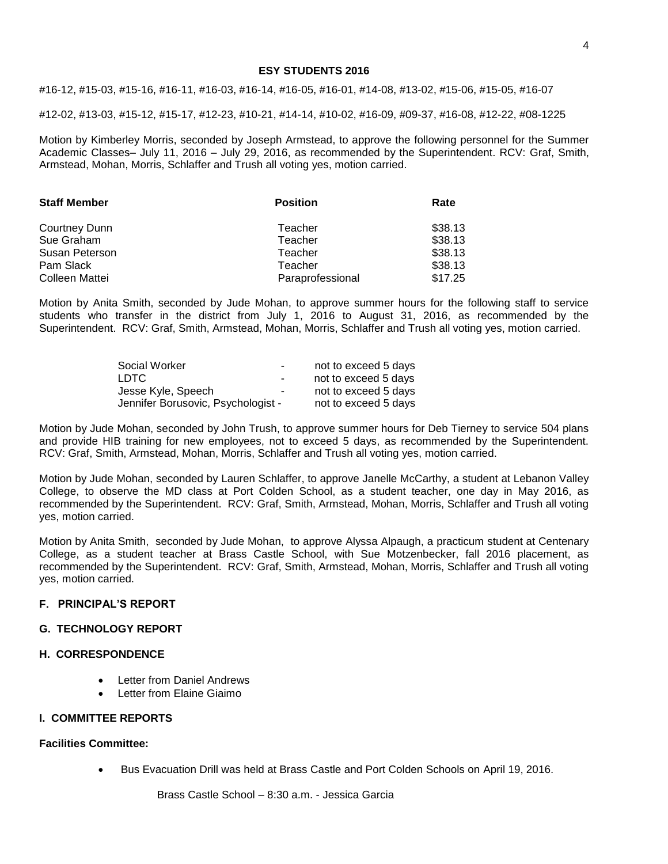#### **ESY STUDENTS 2016**

#16-12, #15-03, #15-16, #16-11, #16-03, #16-14, #16-05, #16-01, #14-08, #13-02, #15-06, #15-05, #16-07

#12-02, #13-03, #15-12, #15-17, #12-23, #10-21, #14-14, #10-02, #16-09, #09-37, #16-08, #12-22, #08-1225

Motion by Kimberley Morris, seconded by Joseph Armstead, to approve the following personnel for the Summer Academic Classes– July 11, 2016 – July 29, 2016, as recommended by the Superintendent. RCV: Graf, Smith, Armstead, Mohan, Morris, Schlaffer and Trush all voting yes, motion carried.

| <b>Staff Member</b> | <b>Position</b>  | Rate    |  |
|---------------------|------------------|---------|--|
| Courtney Dunn       | Teacher          | \$38.13 |  |
| Sue Graham          | Teacher          | \$38.13 |  |
| Susan Peterson      | Teacher          | \$38.13 |  |
| Pam Slack           | Teacher          | \$38.13 |  |
| Colleen Mattei      | Paraprofessional | \$17.25 |  |

Motion by Anita Smith, seconded by Jude Mohan, to approve summer hours for the following staff to service students who transfer in the district from July 1, 2016 to August 31, 2016, as recommended by the Superintendent. RCV: Graf, Smith, Armstead, Mohan, Morris, Schlaffer and Trush all voting yes, motion carried.

| Social Worker                      | $\sim$ | not to exceed 5 days |
|------------------------------------|--------|----------------------|
| LDTC.                              | $\sim$ | not to exceed 5 days |
| Jesse Kyle, Speech                 | $\sim$ | not to exceed 5 days |
| Jennifer Borusovic, Psychologist - |        | not to exceed 5 days |

Motion by Jude Mohan, seconded by John Trush, to approve summer hours for Deb Tierney to service 504 plans and provide HIB training for new employees, not to exceed 5 days, as recommended by the Superintendent. RCV: Graf, Smith, Armstead, Mohan, Morris, Schlaffer and Trush all voting yes, motion carried.

Motion by Jude Mohan, seconded by Lauren Schlaffer, to approve Janelle McCarthy, a student at Lebanon Valley College, to observe the MD class at Port Colden School, as a student teacher, one day in May 2016, as recommended by the Superintendent. RCV: Graf, Smith, Armstead, Mohan, Morris, Schlaffer and Trush all voting yes, motion carried.

Motion by Anita Smith, seconded by Jude Mohan, to approve Alyssa Alpaugh, a practicum student at Centenary College, as a student teacher at Brass Castle School, with Sue Motzenbecker, fall 2016 placement, as recommended by the Superintendent. RCV: Graf, Smith, Armstead, Mohan, Morris, Schlaffer and Trush all voting yes, motion carried.

### **F. PRINCIPAL'S REPORT**

# **G. TECHNOLOGY REPORT**

### **H. CORRESPONDENCE**

- Letter from Daniel Andrews
- Letter from Elaine Giaimo

#### **I. COMMITTEE REPORTS**

#### **Facilities Committee:**

Bus Evacuation Drill was held at Brass Castle and Port Colden Schools on April 19, 2016.

Brass Castle School – 8:30 a.m. - Jessica Garcia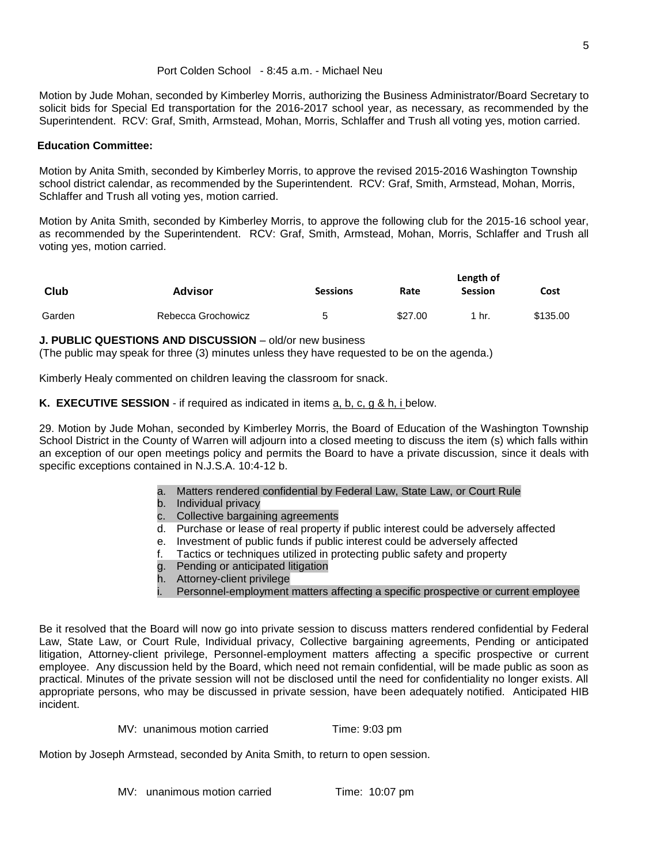Motion by Jude Mohan, seconded by Kimberley Morris, authorizing the Business Administrator/Board Secretary to solicit bids for Special Ed transportation for the 2016-2017 school year, as necessary, as recommended by the Superintendent. RCV: Graf, Smith, Armstead, Mohan, Morris, Schlaffer and Trush all voting yes, motion carried.

# **Education Committee:**

Motion by Anita Smith, seconded by Kimberley Morris, to approve the revised 2015-2016 Washington Township school district calendar, as recommended by the Superintendent. RCV: Graf, Smith, Armstead, Mohan, Morris, Schlaffer and Trush all voting yes, motion carried.

Motion by Anita Smith, seconded by Kimberley Morris, to approve the following club for the 2015-16 school year, as recommended by the Superintendent. RCV: Graf, Smith, Armstead, Mohan, Morris, Schlaffer and Trush all voting yes, motion carried.

|        |                    | Length of       |         |         |          |
|--------|--------------------|-----------------|---------|---------|----------|
| Club   | Advisor            | <b>Sessions</b> | Rate    | Session | Cost     |
| Garden | Rebecca Grochowicz | 5               | \$27.00 | 1 hr.   | \$135.00 |

# **J. PUBLIC QUESTIONS AND DISCUSSION** – old/or new business

(The public may speak for three (3) minutes unless they have requested to be on the agenda.)

Kimberly Healy commented on children leaving the classroom for snack.

**K. EXECUTIVE SESSION** - if required as indicated in items a, b, c, g & h, i below.

29. Motion by Jude Mohan, seconded by Kimberley Morris, the Board of Education of the Washington Township School District in the County of Warren will adjourn into a closed meeting to discuss the item (s) which falls within an exception of our open meetings policy and permits the Board to have a private discussion, since it deals with specific exceptions contained in N.J.S.A. 10:4-12 b.

- a. Matters rendered confidential by Federal Law, State Law, or Court Rule
- b. Individual privacy
- c. Collective bargaining agreements
- d. Purchase or lease of real property if public interest could be adversely affected
- e. Investment of public funds if public interest could be adversely affected
- f. Tactics or techniques utilized in protecting public safety and property
- g. Pending or anticipated litigation
- h. Attorney-client privilege
- i. Personnel-employment matters affecting a specific prospective or current employee

Be it resolved that the Board will now go into private session to discuss matters rendered confidential by Federal Law, State Law, or Court Rule, Individual privacy, Collective bargaining agreements, Pending or anticipated litigation, Attorney-client privilege, Personnel-employment matters affecting a specific prospective or current employee. Any discussion held by the Board, which need not remain confidential, will be made public as soon as practical. Minutes of the private session will not be disclosed until the need for confidentiality no longer exists. All appropriate persons, who may be discussed in private session, have been adequately notified. Anticipated HIB incident.

```
MV: unanimous motion carried Time: 9:03 pm
```
Motion by Joseph Armstead, seconded by Anita Smith, to return to open session.